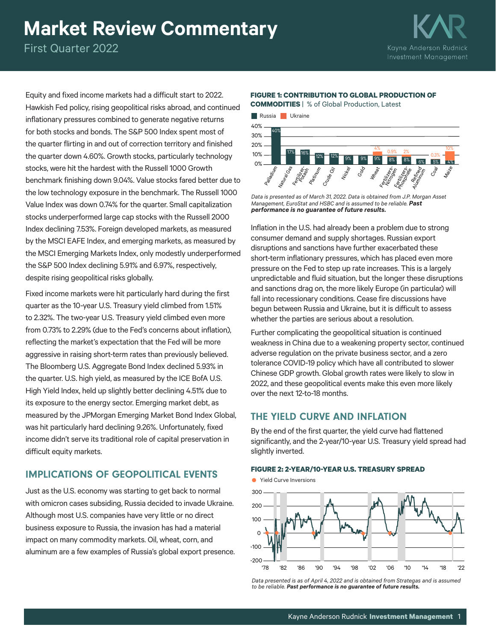# **Market Review Commentary**

First Quarter 2022



Equity and fixed income markets had a difficult start to 2022. Hawkish Fed policy, rising geopolitical risks abroad, and continued inflationary pressures combined to generate negative returns for both stocks and bonds. The S&P 500 Index spent most of the quarter flirting in and out of correction territory and finished the quarter down 4.60%. Growth stocks, particularly technology stocks, were hit the hardest with the Russell 1000 Growth benchmark finishing down 9.04%. Value stocks fared better due to the low technology exposure in the benchmark. The Russell 1000 Value Index was down 0.74% for the quarter. Small capitalization stocks underperformed large cap stocks with the Russell 2000 Index declining 7.53%. Foreign developed markets, as measured by the MSCI EAFE Index, and emerging markets, as measured by the MSCI Emerging Markets Index, only modestly underperformed the S&P 500 Index declining 5.91% and 6.97%, respectively, despite rising geopolitical risks globally.

Fixed income markets were hit particularly hard during the first quarter as the 10-year U.S. Treasury yield climbed from 1.51% to 2.32%. The two-year U.S. Treasury yield climbed even more from 0.73% to 2.29% (due to the Fed's concerns about inflation), reflecting the market's expectation that the Fed will be more aggressive in raising short-term rates than previously believed. The Bloomberg U.S. Aggregate Bond Index declined 5.93% in the quarter. U.S. high yield, as measured by the ICE BofA U.S. High Yield Index, held up slightly better declining 4.51% due to its exposure to the energy sector. Emerging market debt, as measured by the JPMorgan Emerging Market Bond Index Global, was hit particularly hard declining 9.26%. Unfortunately, fixed income didn't serve its traditional role of capital preservation in difficult equity markets.

# IMPLICATIONS OF GEOPOLITICAL EVENTS

Just as the U.S. economy was starting to get back to normal with omicron cases subsiding, Russia decided to invade Ukraine. Although most U.S. companies have very little or no direct business exposure to Russia, the invasion has had a material impact on many commodity markets. Oil, wheat, corn, and aluminum are a few examples of Russia's global export presence.

## **FIGURE 1: CONTRIBUTION TO GLOBAL PRODUCTION OF**

**COMMODITIES** |% of Global Production, Latest



*Data is presented as of March 31, 2022. Data is obtained from J.P. Morgan Asset Management, EuroStat and HSBC and is assumed to be reliable. Past performance is no guarantee of future results.*

Inflation in the U.S. had already been a problem due to strong consumer demand and supply shortages. Russian export disruptions and sanctions have further exacerbated these short-term inflationary pressures, which has placed even more pressure on the Fed to step up rate increases. This is a largely unpredictable and fluid situation, but the longer these disruptions and sanctions drag on, the more likely Europe (in particular) will fall into recessionary conditions. Cease fire discussions have begun between Russia and Ukraine, but it is difficult to assess whether the parties are serious about a resolution.

Further complicating the geopolitical situation is continued weakness in China due to a weakening property sector, continued adverse regulation on the private business sector, and a zero tolerance COVID-19 policy which have all contributed to slower Chinese GDP growth. Global growth rates were likely to slow in 2022, and these geopolitical events make this even more likely over the next 12-to-18 months.

# THE YIELD CURVE AND INFLATION

By the end of the first quarter, the yield curve had flattened significantly, and the 2-year/10-year U.S. Treasury yield spread had slightly inverted.

#### **FIGURE 2: 2-YEAR/10-YEAR U.S. TREASURY SPREAD**



*Data presented is as of April 4, 2022 and is obtained from Strategas and is assumed to be reliable. Past performance is no guarantee of future results.*